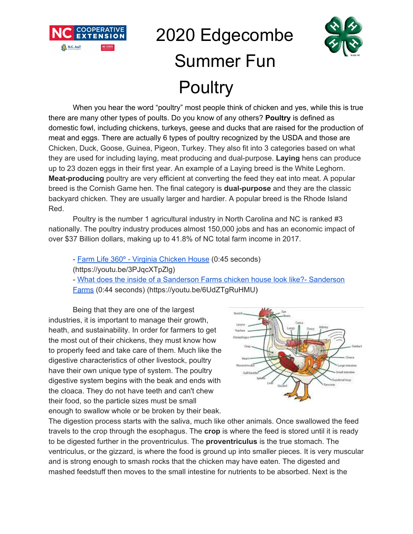

# 2020 Edgecombe Summer Fun **Poultry**



When you hear the word "poultry" most people think of chicken and yes, while this is true there are many other types of poults. Do you know of any others? **Poultry** is defined as domestic fowl, including chickens, turkeys, geese and ducks that are raised for the production of meat and eggs. There are actually 6 types of poultry recognized by the USDA and those are Chicken, Duck, Goose, Guinea, Pigeon, Turkey. They also fit into 3 categories based on what they are used for including laying, meat producing and dual-purpose. **Laying** hens can produce up to 23 dozen eggs in their first year. An example of a Laying breed is the White Leghorn. **Meat-producing** poultry are very efficient at converting the feed they eat into meat. A popular breed is the Cornish Game hen. The final category is **dual-purpose** and they are the classic backyard chicken. They are usually larger and hardier. A popular breed is the Rhode Island Red.

Poultry is the number 1 agricultural industry in North Carolina and NC is ranked #3 nationally. The poultry industry produces almost 150,000 jobs and has an economic impact of over \$37 Billion dollars, making up to 41.8% of NC total farm income in 2017.

- Farm Life 360° - Virginia [Chicken](https://youtu.be/3PJqcXTpZlg) House (0:45 seconds)

(https://youtu.be/3PJqcXTpZlg)

- What does the inside of a Sanderson Farms chicken house look like?- [Sanderson](https://youtu.be/6UdZTgRuHMU) [Farms](https://youtu.be/6UdZTgRuHMU) (0:44 seconds) (https://youtu.be/6UdZTgRuHMU)

Being that they are one of the largest industries, it is important to manage their growth, heath, and sustainability. In order for farmers to get the most out of their chickens, they must know how to properly feed and take care of them. Much like the digestive characteristics of other livestock, poultry have their own unique type of system. The poultry digestive system begins with the beak and ends with the cloaca. They do not have teeth and can't chew their food, so the particle sizes must be small enough to swallow whole or be broken by their beak.



The digestion process starts with the saliva, much like other animals. Once swallowed the feed travels to the crop through the esophagus. The **crop** is where the feed is stored until it is ready to be digested further in the proventriculus. The **proventriculus** is the true stomach. The ventriculus, or the gizzard, is where the food is ground up into smaller pieces. It is very muscular and is strong enough to smash rocks that the chicken may have eaten. The digested and mashed feedstuff then moves to the small intestine for nutrients to be absorbed. Next is the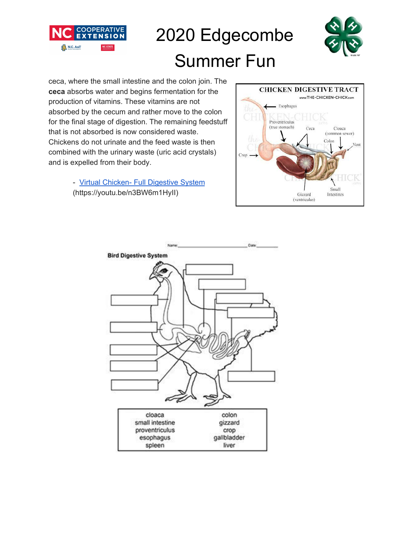

### 2020 Edgecombe



### Summer Fun

ceca, where the small intestine and the colon join. The **ceca** absorbs water and begins fermentation for the production of vitamins. These vitamins are not absorbed by the cecum and rather move to the colon for the final stage of digestion. The remaining feedstuff that is not absorbed is now considered waste. Chickens do not urinate and the feed waste is then combined with the urinary waste (uric acid crystals) and is expelled from their body.

> - Virtual Chicken- Full [Digestive](https://youtu.be/n3BW6m1HyII) System (https://youtu.be/n3BW6m1HyII)